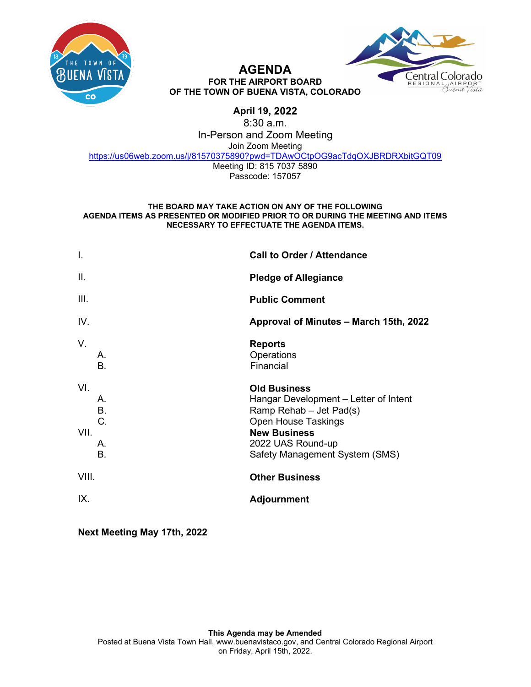



#### **AGENDA FOR THE AIRPORT BOARD OF THE TOWN OF BUENA VISTA, COLORADO**

# **April 19, 2022**

8:30 a.m. In-Person and Zoom Meeting Join Zoom Meeting [https://us06web.zoom.us/j/81570375890?pwd=TDAwOCtpOG9acTdqOXJBRDRXbitGQT09](https://www.google.com/url?q=https://us06web.zoom.us/j/81570375890?pwd%3DTDAwOCtpOG9acTdqOXJBRDRXbitGQT09&sa=D&source=calendar&ust=1647461529293509&usg=AOvVaw2P4UTjTRsGpU4b5JFJGL5b) Meeting ID: 815 7037 5890 Passcode: 157057

#### **THE BOARD MAY TAKE ACTION ON ANY OF THE FOLLOWING AGENDA ITEMS AS PRESENTED OR MODIFIED PRIOR TO OR DURING THE MEETING AND ITEMS NECESSARY TO EFFECTUATE THE AGENDA ITEMS.**

| Ι.          |                                   | <b>Call to Order / Attendance</b>                                                                                                                                                                   |
|-------------|-----------------------------------|-----------------------------------------------------------------------------------------------------------------------------------------------------------------------------------------------------|
| Ш.          |                                   | <b>Pledge of Allegiance</b>                                                                                                                                                                         |
| III.        |                                   | <b>Public Comment</b>                                                                                                                                                                               |
| IV.         |                                   | Approval of Minutes - March 15th, 2022                                                                                                                                                              |
| V.          | А.<br>B.                          | <b>Reports</b><br>Operations<br>Financial                                                                                                                                                           |
| VI.<br>VII. | А.<br><b>B.</b><br>C.<br>А.<br>B. | <b>Old Business</b><br>Hangar Development – Letter of Intent<br>Ramp Rehab - Jet Pad(s)<br><b>Open House Taskings</b><br><b>New Business</b><br>2022 UAS Round-up<br>Safety Management System (SMS) |
| VIII.       |                                   | <b>Other Business</b>                                                                                                                                                                               |
| IX.         |                                   | <b>Adjournment</b>                                                                                                                                                                                  |
|             |                                   |                                                                                                                                                                                                     |

**Next Meeting May 17th, 2022**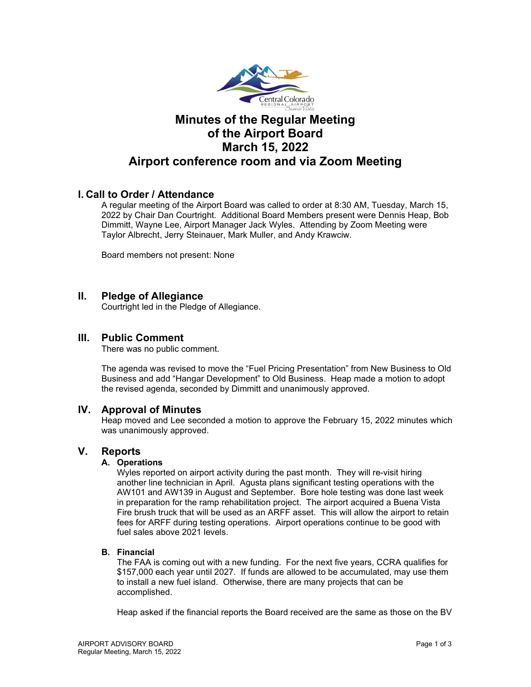

# **Minutes of the Regular Meeting of the Airport Board March 15, 2022 Airport conference room and via Zoom Meeting**

# **I. Call to Order / Attendance**

A regular meeting of the Airport Board was called to order at 8:30 AM, Tuesday, March 15, 2022 by Chair Dan Courtright. Additional Board Members present were Dennis Heap, Bob Dimmitt, Wayne Lee, Airport Manager Jack Wyles. Attending by Zoom Meeting were Taylor Albrecht, Jerry Steinauer, Mark Muller, and Andy Krawciw.

Board members not present: None

## **II. Pledge of Allegiance**

Courtright led in the Pledge of Allegiance.

## **III. Public Comment**

There was no public comment.

The agenda was revised to move the "Fuel Pricing Presentation" from New Business to Old Business and add "Hangar Development" to Old Business. Heap made a motion to adopt the revised agenda, seconded by Dimmitt and unanimously approved.

#### **IV. Approval of Minutes**

Heap moved and Lee seconded a motion to approve the February 15, 2022 minutes which was unanimously approved.

## **V. Reports**

#### **A. Operations**

Wyles reported on airport activity during the past month. They will re-visit hiring another line technician in April. Agusta plans significant testing operations with the AW101 and AW139 in August and September. Bore hole testing was done last week in preparation for the ramp rehabilitation project. The airport acquired a Buena Vista Fire brush truck that will be used as an ARFF asset. This will allow the airport to retain fees for ARFF during testing operations. Airport operations continue to be good with fuel sales above 2021 levels.

#### **B. Financial**

The FAA is coming out with a new funding. For the next five years, CCRA qualifies for \$157,000 each year until 2027. If funds are allowed to be accumulated, may use them to install a new fuel island. Otherwise, there are many projects that can be accomplished.

Heap asked if the financial reports the Board received are the same as those on the BV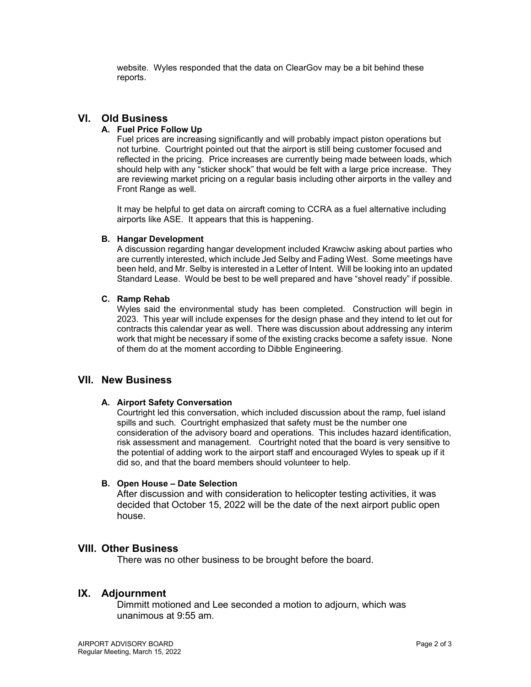website. Wyles responded that the data on ClearGov may be a bit behind these reports.

# **VI. Old Business**

#### **A. Fuel Price Follow Up**

Fuel prices are increasing significantly and will probably impact piston operations but not turbine. Courtright pointed out that the airport is still being customer focused and reflected in the pricing. Price increases are currently being made between loads, which should help with any "sticker shock" that would be felt with a large price increase. They are reviewing market pricing on a regular basis including other airports in the valley and Front Range as well.

It may be helpful to get data on aircraft coming to CCRA as a fuel alternative including airports like ASE. It appears that this is happening.

#### **B. Hangar Development**

A discussion regarding hangar development included Krawciw asking about parties who are currently interested, which include Jed Selby and Fading West. Some meetings have been held, and Mr. Selby is interested in a Letter of Intent. Will be looking into an updated Standard Lease. Would be best to be well prepared and have "shovel ready" if possible.

#### **C. Ramp Rehab**

Wyles said the environmental study has been completed. Construction will begin in 2023. This year will include expenses for the design phase and they intend to let out for contracts this calendar year as well. There was discussion about addressing any interim work that might be necessary if some of the existing cracks become a safety issue. None of them do at the moment according to Dibble Engineering.

### **VII. New Business**

#### **A. Airport Safety Conversation**

Courtright led this conversation, which included discussion about the ramp, fuel island spills and such. Courtright emphasized that safety must be the number one consideration of the advisory board and operations. This includes hazard identification, risk assessment and management. Courtright noted that the board is very sensitive to the potential of adding work to the airport staff and encouraged Wyles to speak up if it did so, and that the board members should volunteer to help.

#### **B. Open House – Date Selection**

After discussion and with consideration to helicopter testing activities, it was decided that October 15, 2022 will be the date of the next airport public open house.

## **VIII. Other Business**

There was no other business to be brought before the board.

#### **IX. Adjournment**

Dimmitt motioned and Lee seconded a motion to adjourn, which was unanimous at 9:55 am.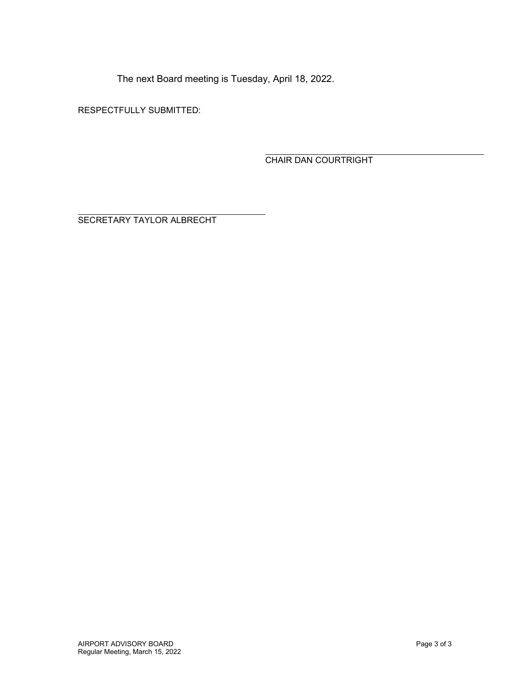The next Board meeting is Tuesday, April 18, 2022.

RESPECTFULLY SUBMITTED:

CHAIR DAN COURTRIGHT

SECRETARY TAYLOR ALBRECHT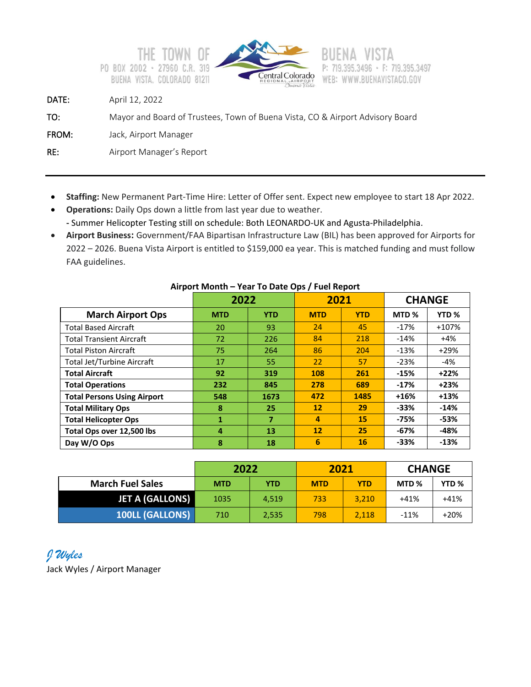



F: 719.395.3497 WEB: WWW.BUENAVISTACO.GOV

DATE: April 12, 2022

TO: Mayor and Board of Trustees, Town of Buena Vista, CO & Airport Advisory Board

FROM: Jack, Airport Manager

RE: Airport Manager's Report

- **Staffing:** New Permanent Part-Time Hire: Letter of Offer sent. Expect new employee to start 18 Apr 2022.
- **Operations:** Daily Ops down a little from last year due to weather. **-** Summer Helicopter Testing still on schedule: Both LEONARDO-UK and Agusta-Philadelphia.
- **Airport Business:** Government/FAA Bipartisan Infrastructure Law (BIL) has been approved for Airports for 2022 – 2026. Buena Vista Airport is entitled to \$159,000 ea year. This is matched funding and must follow FAA guidelines.

|                                    | 2022       |            | 2021              |            |                  | <b>CHANGE</b>    |
|------------------------------------|------------|------------|-------------------|------------|------------------|------------------|
| <b>March Airport Ops</b>           | <b>MTD</b> | <b>YTD</b> | <b>MTD</b>        | <b>YTD</b> | MTD <sub>%</sub> | YTD <sub>%</sub> |
| <b>Total Based Aircraft</b>        | 20         | 93         | 24                | 45         | $-17%$           | +107%            |
| <b>Total Transient Aircraft</b>    | 72         | 226        | 84                | 218        | $-14%$           | $+4%$            |
| <b>Total Piston Aircraft</b>       | 75         | 264        | 86                | 204        | $-13%$           | $+29%$           |
| <b>Total Jet/Turbine Aircraft</b>  | 17         | 55         | 22                | 57         | $-23%$           | -4%              |
| <b>Total Aircraft</b>              | 92         | 319        | 108               | 261        | $-15%$           | $+22%$           |
| <b>Total Operations</b>            | 232        | 845        | 278               | 689        | $-17%$           | $+23%$           |
| <b>Total Persons Using Airport</b> | 548        | 1673       | 472               | 1485       | $+16%$           | $+13%$           |
| <b>Total Military Ops</b>          | 8          | 25         | 12                | 29         | $-33%$           | $-14%$           |
| <b>Total Helicopter Ops</b>        | 1          | 7          | $\overline{a}$    | 15         | $-75%$           | $-53%$           |
| Total Ops over 12,500 lbs          | 4          | 13         | $12 \overline{ }$ | 25         | $-67%$           | -48%             |
| Day W/O Ops                        | 8          | 18         | 6                 | 16         | $-33%$           | $-13%$           |

### **Airport Month – Year To Date Ops / Fuel Report**

|                         | 2022       |            | 2021       |            | <b>CHANGE</b>    |                  |
|-------------------------|------------|------------|------------|------------|------------------|------------------|
| <b>March Fuel Sales</b> | <b>MTD</b> | <b>YTD</b> | <b>MTD</b> | <b>YTD</b> | MTD <sub>%</sub> | YTD <sub>%</sub> |
| <b>JET A (GALLONS)</b>  | 1035       | 4.519      | 733        | 3.210      | $+41%$           | $+41%$           |
| <b>100LL (GALLONS)</b>  | 710        | 2,535      | 798        | 2,118      | $-11%$           | $+20%$           |

# *J Wyles*

Jack Wyles / Airport Manager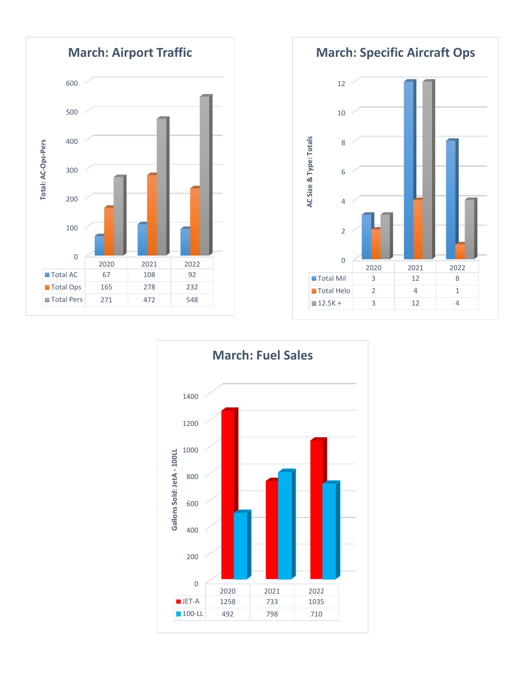

**March: Specific Aircraft Ops**



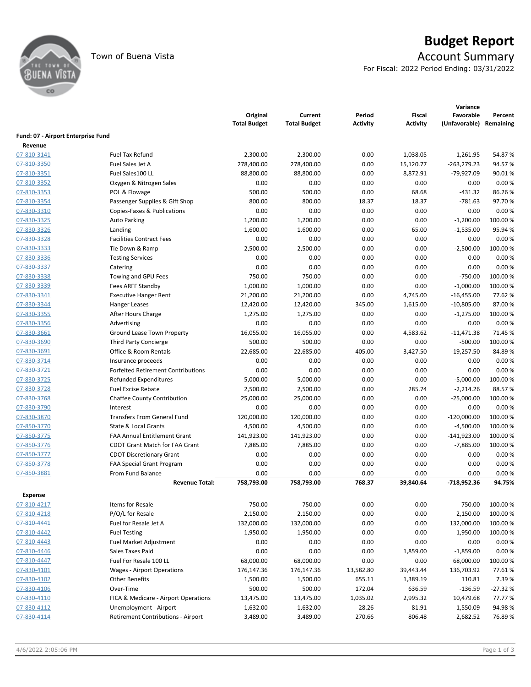

# Town of Buena Vista **Account Summary**

For Fiscal: 2022 Period Ending: 03/31/2022

|                                    |                                                | Original<br><b>Total Budget</b> | Current<br><b>Total Budget</b> | Period<br><b>Activity</b> | <b>Fiscal</b><br><b>Activity</b> | Variance<br>Favorable<br>(Unfavorable) | Percent<br>Remaining |
|------------------------------------|------------------------------------------------|---------------------------------|--------------------------------|---------------------------|----------------------------------|----------------------------------------|----------------------|
| Fund: 07 - Airport Enterprise Fund |                                                |                                 |                                |                           |                                  |                                        |                      |
| Revenue                            |                                                |                                 |                                |                           |                                  |                                        |                      |
| 07-810-3141                        | <b>Fuel Tax Refund</b>                         | 2,300.00                        | 2,300.00                       | 0.00                      | 1,038.05                         | $-1,261.95$                            | 54.87%               |
| 07-810-3350                        | Fuel Sales Jet A                               | 278,400.00                      | 278,400.00                     | 0.00                      | 15,120.77                        | -263,279.23                            | 94.57%               |
| 07-810-3351                        | Fuel Sales100 LL                               | 88,800.00                       | 88,800.00                      | 0.00                      | 8,872.91                         | -79,927.09                             | 90.01%               |
| 07-810-3352                        | Oxygen & Nitrogen Sales                        | 0.00                            | 0.00                           | 0.00                      | 0.00                             | 0.00                                   | 0.00%                |
| 07-810-3353                        | POL & Flowage                                  | 500.00                          | 500.00                         | 0.00                      | 68.68                            | $-431.32$                              | 86.26%               |
| 07-810-3354                        | Passenger Supplies & Gift Shop                 | 800.00                          | 800.00                         | 18.37                     | 18.37                            | $-781.63$                              | 97.70%               |
| 07-830-3310                        | Copies-Faxes & Publications                    | 0.00                            | 0.00                           | 0.00                      | 0.00                             | 0.00                                   | 0.00%                |
| 07-830-3325                        | <b>Auto Parking</b>                            | 1,200.00                        | 1,200.00                       | 0.00                      | 0.00                             | $-1,200.00$                            | 100.00%              |
| 07-830-3326                        | Landing                                        | 1,600.00                        | 1,600.00                       | 0.00                      | 65.00                            | $-1,535.00$                            | 95.94%               |
| 07-830-3328                        | <b>Facilities Contract Fees</b>                | 0.00                            | 0.00                           | 0.00                      | 0.00                             | 0.00                                   | 0.00%                |
| 07-830-3333                        | Tie Down & Ramp                                | 2,500.00                        | 2,500.00                       | 0.00                      | 0.00                             | $-2,500.00$                            | 100.00 %             |
| 07-830-3336                        | <b>Testing Services</b>                        | 0.00                            | 0.00                           | 0.00                      | 0.00                             | 0.00                                   | 0.00%                |
| 07-830-3337                        | Catering                                       | 0.00                            | 0.00                           | 0.00                      | 0.00                             | 0.00                                   | 0.00%                |
| 07-830-3338                        | Towing and GPU Fees                            | 750.00                          | 750.00                         | 0.00                      | 0.00                             | $-750.00$                              | 100.00 %             |
| 07-830-3339                        | Fees ARFF Standby                              | 1,000.00                        | 1,000.00                       | 0.00                      | 0.00                             | $-1,000.00$                            | 100.00 %             |
| 07-830-3341                        | <b>Executive Hanger Rent</b>                   | 21,200.00                       | 21,200.00                      | 0.00                      | 4,745.00                         | $-16,455.00$                           | 77.62 %              |
| 07-830-3344                        | Hanger Leases                                  | 12,420.00                       | 12,420.00                      | 345.00                    | 1,615.00                         | $-10,805.00$                           | 87.00%               |
| 07-830-3355                        | After Hours Charge                             | 1,275.00                        | 1,275.00                       | 0.00                      | 0.00                             | $-1,275.00$                            | 100.00 %             |
| 07-830-3356                        | Advertising                                    | 0.00                            | 0.00                           | 0.00                      | 0.00                             | 0.00                                   | 0.00%                |
| 07-830-3661                        | <b>Ground Lease Town Property</b>              | 16,055.00                       | 16,055.00                      | 0.00                      | 4,583.62                         | $-11,471.38$                           | 71.45%               |
| 07-830-3690                        | <b>Third Party Concierge</b>                   | 500.00                          | 500.00                         | 0.00                      | 0.00                             | $-500.00$                              | 100.00 %             |
| 07-830-3691                        | Office & Room Rentals                          | 22,685.00                       | 22,685.00                      | 405.00                    | 3,427.50                         | $-19,257.50$                           | 84.89%               |
| 07-830-3714                        | Insurance proceeds                             | 0.00                            | 0.00                           | 0.00                      | 0.00                             | 0.00                                   | 0.00%                |
| 07-830-3721                        | <b>Forfeited Retirement Contributions</b>      | 0.00                            | 0.00                           | 0.00                      | 0.00                             | 0.00                                   | 0.00%                |
| 07-830-3725                        | <b>Refunded Expenditures</b>                   | 5,000.00                        | 5,000.00                       | 0.00                      | 0.00                             | $-5,000.00$                            | 100.00 %             |
| 07-830-3728                        | <b>Fuel Excise Rebate</b>                      | 2,500.00                        | 2,500.00                       | 0.00                      | 285.74                           | $-2,214.26$                            | 88.57%               |
| 07-830-3768                        | <b>Chaffee County Contribution</b>             | 25,000.00                       | 25,000.00                      | 0.00                      | 0.00                             | $-25,000.00$                           | 100.00%              |
| 07-830-3790                        | Interest                                       | 0.00                            | 0.00                           | 0.00                      | 0.00                             | 0.00                                   | 0.00%                |
| 07-830-3870                        | <b>Transfers From General Fund</b>             | 120,000.00                      | 120,000.00                     | 0.00                      | 0.00                             | $-120,000.00$                          | 100.00 %             |
| 07-850-3770                        | State & Local Grants                           | 4,500.00                        | 4,500.00                       | 0.00                      | 0.00                             | $-4,500.00$                            | 100.00 %             |
| 07-850-3775                        | <b>FAA Annual Entitlement Grant</b>            | 141,923.00                      | 141,923.00                     | 0.00                      | 0.00                             | $-141,923.00$                          | 100.00 %             |
| 07-850-3776                        | <b>CDOT Grant Match for FAA Grant</b>          | 7,885.00                        | 7,885.00                       | 0.00                      | 0.00                             | $-7,885.00$                            | 100.00%              |
| 07-850-3777                        | <b>CDOT Discretionary Grant</b>                | 0.00                            | 0.00                           | 0.00                      | 0.00                             | 0.00                                   | 0.00%                |
| 07-850-3778                        |                                                | 0.00                            | 0.00                           | 0.00                      | 0.00                             | 0.00                                   | 0.00%                |
| 07-850-3881                        | FAA Special Grant Program<br>From Fund Balance | 0.00                            | 0.00                           | 0.00                      | 0.00                             | 0.00                                   | 0.00%                |
|                                    | <b>Revenue Total:</b>                          | 758,793.00                      | 758,793.00                     | 768.37                    | 39,840.64                        | -718,952.36                            | 94.75%               |
|                                    |                                                |                                 |                                |                           |                                  |                                        |                      |
| <b>Expense</b>                     |                                                |                                 |                                |                           |                                  |                                        |                      |
| 07-810-4217                        | Items for Resale                               | 750.00                          | 750.00                         | 0.00                      | 0.00                             | 750.00                                 | 100.00%              |
| 07-810-4218                        | P/O/L for Resale                               | 2,150.00                        | 2,150.00                       | 0.00                      | 0.00                             | 2,150.00                               | 100.00 %             |
| 07-810-4441                        | Fuel for Resale Jet A                          | 132,000.00                      | 132,000.00                     | 0.00                      | 0.00                             | 132,000.00                             | 100.00%              |
| 07-810-4442                        | <b>Fuel Testing</b>                            | 1,950.00                        | 1,950.00                       | 0.00                      | 0.00                             | 1,950.00                               | 100.00%              |
| 07-810-4443                        | Fuel Market Adjustment                         | 0.00                            | 0.00                           | 0.00                      | 0.00                             | 0.00                                   | 0.00%                |
| 07-810-4446                        | Sales Taxes Paid                               | 0.00                            | 0.00                           | 0.00                      | 1,859.00                         | $-1,859.00$                            | 0.00%                |
| 07-810-4447                        | Fuel For Resale 100 LL                         | 68,000.00                       | 68,000.00                      | 0.00                      | 0.00                             | 68,000.00                              | 100.00 %             |
| 07-830-4101                        | <b>Wages - Airport Operations</b>              | 176,147.36                      | 176,147.36                     | 13,582.80                 | 39,443.44                        | 136,703.92                             | 77.61%               |
| 07-830-4102                        | <b>Other Benefits</b>                          | 1,500.00                        | 1,500.00                       | 655.11                    | 1,389.19                         | 110.81                                 | 7.39%                |
| 07-830-4106                        | Over-Time                                      | 500.00                          | 500.00                         | 172.04                    | 636.59                           | $-136.59$                              | $-27.32%$            |
| 07-830-4110                        | FICA & Medicare - Airport Operations           | 13,475.00                       | 13,475.00                      | 1,035.02                  | 2,995.32                         | 10,479.68                              | 77.77%               |
| 07-830-4112                        | Unemployment - Airport                         | 1,632.00                        | 1,632.00                       | 28.26                     | 81.91                            | 1,550.09                               | 94.98%               |
| 07-830-4114                        | Retirement Contributions - Airport             | 3,489.00                        | 3,489.00                       | 270.66                    | 806.48                           | 2,682.52                               | 76.89%               |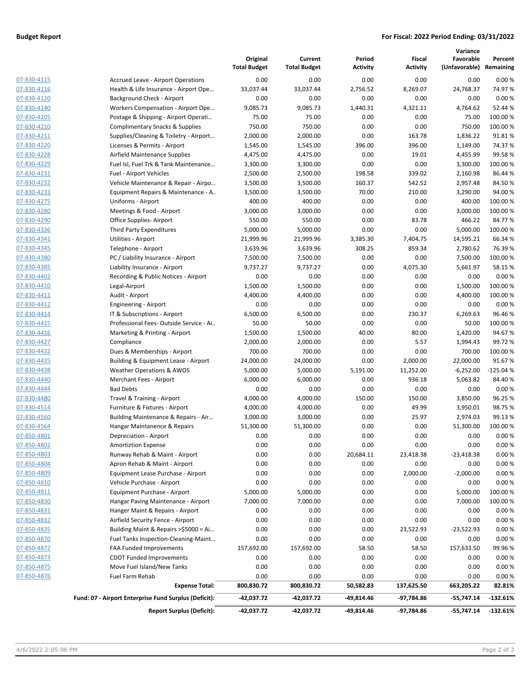#### **Budget Report For Fiscal: 2022 Period Ending: 03/31/2022**

|                            |                                                                        |                                 |                                |                    |                           | Variance                             |                    |
|----------------------------|------------------------------------------------------------------------|---------------------------------|--------------------------------|--------------------|---------------------------|--------------------------------------|--------------------|
|                            |                                                                        | Original<br><b>Total Budget</b> | Current<br><b>Total Budget</b> | Period<br>Activity | Fiscal<br><b>Activity</b> | Favorable<br>(Unfavorable) Remaining | Percent            |
|                            |                                                                        |                                 |                                |                    |                           |                                      |                    |
| 07-830-4115                | <b>Accrued Leave - Airport Operations</b>                              | 0.00                            | 0.00                           | 0.00               | 0.00                      | 0.00                                 | 0.00%              |
| 07-830-4116                | Health & Life Insurance - Airport Ope                                  | 33,037.44                       | 33,037.44                      | 2,756.52           | 8,269.07                  | 24,768.37                            | 74.97%             |
| 07-830-4120                | Background Check - Airport                                             | 0.00                            | 0.00                           | 0.00               | 0.00                      | 0.00                                 | 0.00%              |
| 07-830-4140                | Workers Compensation - Airport Ope                                     | 9,085.73                        | 9,085.73                       | 1,440.31           | 4,321.11                  | 4,764.62                             | 52.44 %            |
| 07-830-4205                | Postage & Shipping - Airport Operati                                   | 75.00                           | 75.00                          | 0.00               | 0.00                      | 75.00                                | 100.00%            |
| 07-830-4210                | Complimentary Snacks & Supplies                                        | 750.00                          | 750.00                         | 0.00               | 0.00                      | 750.00                               | 100.00%            |
| 07-830-4211                | Supplies/Cleaning & Toiletry - Airport                                 | 2,000.00                        | 2,000.00                       | 0.00               | 163.78                    | 1,836.22                             | 91.81%             |
| 07-830-4220                | Licenses & Permits - Airport                                           | 1,545.00                        | 1,545.00                       | 396.00             | 396.00                    | 1,149.00                             | 74.37%             |
| 07-830-4228                | Airfield Maintenance Supplies                                          | 4,475.00                        | 4,475.00                       | 0.00               | 19.01                     | 4,455.99                             | 99.58%             |
| 07-830-4229                | Fuel Isl, Fuel Trk & Tank Maintenance                                  | 3,300.00                        | 3,300.00                       | 0.00               | 0.00                      | 3,300.00                             | 100.00%            |
| 07-830-4231                | Fuel - Airport Vehicles                                                | 2,500.00                        | 2,500.00                       | 198.58             | 339.02                    | 2,160.98                             | 86.44 %            |
| 07-830-4232                | Vehicle Maintenance & Repair - Airpo                                   | 3,500.00                        | 3,500.00                       | 160.37             | 542.52                    | 2,957.48                             | 84.50%             |
| 07-830-4233                | Equipment Repairs & Maintenance - A                                    | 3,500.00                        | 3,500.00                       | 70.00              | 210.00                    | 3,290.00                             | 94.00%             |
| 07-830-4275                | Uniforms - Airport                                                     | 400.00                          | 400.00                         | 0.00               | 0.00                      | 400.00                               | 100.00%            |
| 07-830-4280                | Meetings & Food - Airport                                              | 3,000.00                        | 3,000.00                       | 0.00               | 0.00                      | 3,000.00                             | 100.00%            |
| 07-830-4290<br>07-830-4336 | Office Supplies-Airport                                                | 550.00                          | 550.00                         | 0.00               | 83.78                     | 466.22                               | 84.77%             |
|                            | Third Party Expenditures                                               | 5,000.00                        | 5,000.00                       | 0.00               | 0.00                      | 5,000.00                             | 100.00%            |
| 07-830-4341<br>07-830-4345 | Utilities - Airport<br>Telephone - Airport                             | 21,999.96                       | 21,999.96                      | 3,385.30           | 7,404.75                  | 14,595.21                            | 66.34%             |
|                            |                                                                        | 3,639.96                        | 3,639.96                       | 308.25             | 859.34                    | 2,780.62                             | 76.39%<br>100.00%  |
| 07-830-4380<br>07-830-4385 | PC / Liability Insurance - Airport<br>Liability Insurance - Airport    | 7,500.00                        | 7,500.00                       | 0.00               | 0.00<br>4,075.30          | 7,500.00                             |                    |
|                            |                                                                        | 9,737.27                        | 9,737.27                       | 0.00               |                           | 5,661.97                             | 58.15%             |
| 07-830-4402<br>07-830-4410 | Recording & Public Notices - Airport                                   | 0.00                            | 0.00                           | 0.00               | 0.00                      | 0.00                                 | 0.00%              |
| 07-830-4411                | Legal-Airport                                                          | 1,500.00<br>4,400.00            | 1,500.00<br>4,400.00           | 0.00<br>0.00       | 0.00<br>0.00              | 1,500.00<br>4,400.00                 | 100.00%<br>100.00% |
| 07-830-4412                | Audit - Airport                                                        | 0.00                            | 0.00                           | 0.00               | 0.00                      | 0.00                                 | 0.00%              |
| 07-830-4414                | Engineering - Airport                                                  | 6,500.00                        | 6,500.00                       | 0.00               | 230.37                    | 6,269.63                             | 96.46%             |
| 07-830-4415                | IT & Subscriptions - Airport<br>Professional Fees-Outside Service - Ai | 50.00                           | 50.00                          | 0.00               | 0.00                      | 50.00                                | 100.00%            |
| 07-830-4416                |                                                                        | 1,500.00                        | 1,500.00                       | 40.00              | 80.00                     | 1,420.00                             | 94.67%             |
| 07-830-4427                | Marketing & Printing - Airport<br>Compliance                           | 2,000.00                        | 2,000.00                       | 0.00               | 5.57                      | 1,994.43                             | 99.72%             |
| 07-830-4432                | Dues & Memberships - Airport                                           | 700.00                          | 700.00                         | 0.00               | 0.00                      | 700.00                               | 100.00%            |
| 07-830-4435                | Building & Equipment Lease - Airport                                   | 24,000.00                       | 24,000.00                      | 0.00               | 2,000.00                  | 22,000.00                            | 91.67%             |
| 07-830-4438                | <b>Weather Operations &amp; AWOS</b>                                   | 5,000.00                        | 5,000.00                       | 5,191.00           | 11,252.00                 | $-6,252.00$                          | $-125.04%$         |
| 07-830-4440                | Merchant Fees - Airport                                                | 6,000.00                        | 6,000.00                       | 0.00               | 936.18                    | 5,063.82                             | 84.40%             |
| 07-830-4444                | <b>Bad Debts</b>                                                       | 0.00                            | 0.00                           | 0.00               | 0.00                      | 0.00                                 | 0.00%              |
| 07-830-4480                | Travel & Training - Airport                                            | 4,000.00                        | 4,000.00                       | 150.00             | 150.00                    | 3,850.00                             | 96.25 %            |
| 07-830-4514                | Furniture & Fixtures - Airport                                         | 4,000.00                        | 4,000.00                       | 0.00               | 49.99                     | 3,950.01                             | 98.75%             |
| 07-830-4560                | Building Maintenance & Repairs - Air                                   | 3,000.00                        | 3,000.00                       | 0.00               | 25.97                     | 2,974.03                             | 99.13%             |
| 07-830-4564                | Hangar Maintanence & Repairs                                           | 51,300.00                       | 51,300.00                      | 0.00               | 0.00                      | 51,300.00                            | 100.00%            |
| 07-850-4801                | Depreciation - Airport                                                 | 0.00                            | 0.00                           | 0.00               | 0.00                      | 0.00                                 | 0.00%              |
| 07-850-4802                | <b>Amortiztion Expense</b>                                             | 0.00                            | 0.00                           | 0.00               | 0.00                      | 0.00                                 | 0.00%              |
| 07-850-4803                | Runway Rehab & Maint - Airport                                         | 0.00                            | 0.00                           | 20,684.11          | 23,418.38                 | $-23,418.38$                         | 0.00%              |
| 07-850-4804                | Apron Rehab & Maint - Airport                                          | 0.00                            | 0.00                           | 0.00               | 0.00                      | 0.00                                 | 0.00%              |
| 07-850-4809                | Equipment Lease Purchase - Airport                                     | 0.00                            | 0.00                           | 0.00               | 2,000.00                  | $-2,000.00$                          | 0.00%              |
| 07-850-4810                | Vehicle Purchase - Airport                                             | 0.00                            | 0.00                           | 0.00               | 0.00                      | 0.00                                 | 0.00%              |
| 07-850-4811                | Equipment Purchase - Airport                                           | 5,000.00                        | 5,000.00                       | 0.00               | 0.00                      | 5,000.00                             | 100.00%            |
| 07-850-4830                | Hangar Paving Maintenance - Airport                                    | 7,000.00                        | 7,000.00                       | 0.00               | 0.00                      | 7,000.00                             | 100.00 %           |
| 07-850-4831                | Hanger Maint & Repairs - Airport                                       | 0.00                            | 0.00                           | 0.00               | 0.00                      | 0.00                                 | 0.00%              |
| 07-850-4832                | Airfield Security Fence - Airport                                      | 0.00                            | 0.00                           | 0.00               | 0.00                      | 0.00                                 | 0.00%              |
| 07-850-4835                | Building Maint & Repairs >\$5000 = Ai                                  | 0.00                            | 0.00                           | 0.00               | 23,522.93                 | -23,522.93                           | 0.00%              |
| 07-850-4870                | Fuel Tanks Inspection-Cleaning-Maint                                   | 0.00                            | 0.00                           | 0.00               | 0.00                      | 0.00                                 | 0.00%              |
| 07-850-4872                | <b>FAA Funded Improvements</b>                                         | 157,692.00                      | 157,692.00                     | 58.50              | 58.50                     | 157,633.50                           | 99.96%             |
| 07-850-4873                | CDOT Funded Improvements                                               | 0.00                            | 0.00                           | 0.00               | 0.00                      | 0.00                                 | 0.00%              |
| 07-850-4875                | Move Fuel Island/New Tanks                                             | 0.00                            | 0.00                           | 0.00               | 0.00                      | 0.00                                 | 0.00%              |
| 07-850-4876                | Fuel Farm Rehab                                                        | 0.00                            | 0.00                           | 0.00               | 0.00                      | 0.00                                 | 0.00%              |
|                            | <b>Expense Total:</b>                                                  | 800,830.72                      | 800,830.72                     | 50,582.83          | 137,625.50                | 663,205.22                           | 82.81%             |
|                            | Fund: 07 - Airport Enterprise Fund Surplus (Deficit):                  | -42,037.72                      | -42,037.72                     | -49,814.46         | -97,784.86                | -55,747.14                           | $-132.61%$         |
|                            | <b>Report Surplus (Deficit):</b>                                       | -42,037.72                      | -42,037.72                     | -49,814.46         | -97,784.86                | $-55,747.14$                         | $-132.61%$         |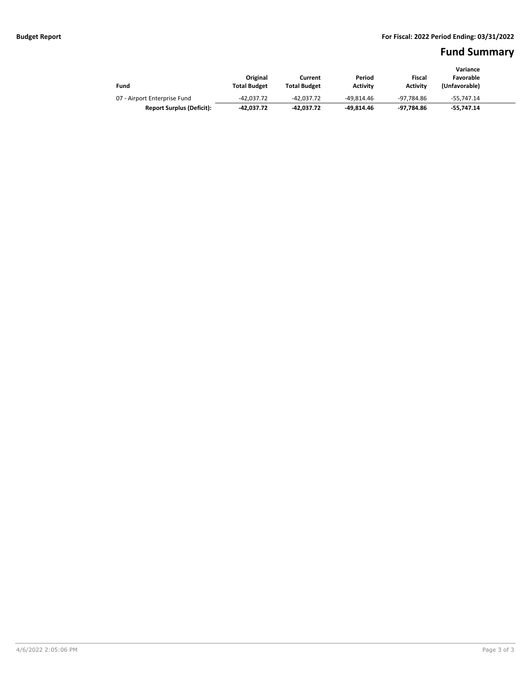# **Fund Summary**

|                                  |                     |                     |                 |                 | Variance      |  |  |
|----------------------------------|---------------------|---------------------|-----------------|-----------------|---------------|--|--|
|                                  | Original            | Current             | Period          | Fiscal          | Favorable     |  |  |
| Fund                             | <b>Total Budget</b> | <b>Total Budget</b> | <b>Activity</b> | <b>Activity</b> | (Unfavorable) |  |  |
| 07 - Airport Enterprise Fund     | $-42.037.72$        | -42.037.72          | -49.814.46      | -97.784.86      | -55.747.14    |  |  |
| <b>Report Surplus (Deficit):</b> | -42.037.72          | -42.037.72          | -49.814.46      | -97.784.86      | -55.747.14    |  |  |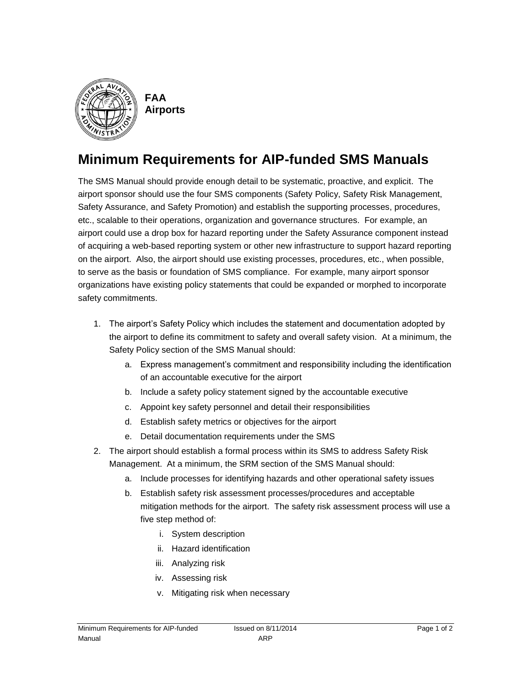

**FAA Airports**

# **Minimum Requirements for AIP-funded SMS Manuals**

The SMS Manual should provide enough detail to be systematic, proactive, and explicit. The airport sponsor should use the four SMS components (Safety Policy, Safety Risk Management, Safety Assurance, and Safety Promotion) and establish the supporting processes, procedures, etc., scalable to their operations, organization and governance structures. For example, an airport could use a drop box for hazard reporting under the Safety Assurance component instead of acquiring a web-based reporting system or other new infrastructure to support hazard reporting on the airport. Also, the airport should use existing processes, procedures, etc., when possible, to serve as the basis or foundation of SMS compliance. For example, many airport sponsor organizations have existing policy statements that could be expanded or morphed to incorporate safety commitments.

- 1. The airport's Safety Policy which includes the statement and documentation adopted by the airport to define its commitment to safety and overall safety vision. At a minimum, the Safety Policy section of the SMS Manual should:
	- a. Express management's commitment and responsibility including the identification of an accountable executive for the airport
	- b. Include a safety policy statement signed by the accountable executive
	- c. Appoint key safety personnel and detail their responsibilities
	- d. Establish safety metrics or objectives for the airport
	- e. Detail documentation requirements under the SMS
- 2. The airport should establish a formal process within its SMS to address Safety Risk Management. At a minimum, the SRM section of the SMS Manual should:
	- a. Include processes for identifying hazards and other operational safety issues
	- b. Establish safety risk assessment processes/procedures and acceptable mitigation methods for the airport. The safety risk assessment process will use a five step method of:
		- i. System description
		- ii. Hazard identification
		- iii. Analyzing risk
		- iv. Assessing risk
		- v. Mitigating risk when necessary